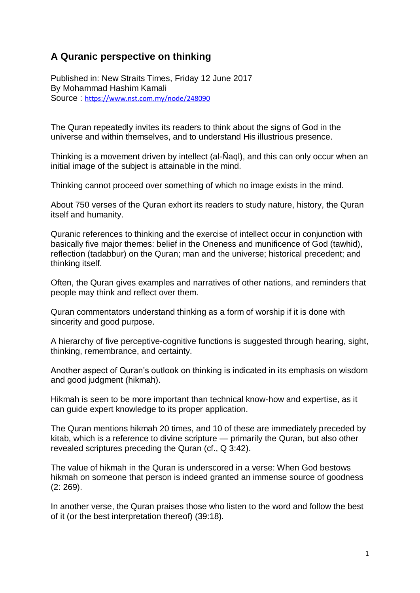## **A Quranic perspective on thinking**

Published in: New Straits Times, Friday 12 June 2017 By Mohammad Hashim Kamali Source : <https://www.nst.com.my/node/248090>

The Quran repeatedly invites its readers to think about the signs of God in the universe and within themselves, and to understand His illustrious presence.

Thinking is a movement driven by intellect (al-Ñaql), and this can only occur when an initial image of the subject is attainable in the mind.

Thinking cannot proceed over something of which no image exists in the mind.

About 750 verses of the Quran exhort its readers to study nature, history, the Quran itself and humanity.

Quranic references to thinking and the exercise of intellect occur in conjunction with basically five major themes: belief in the Oneness and munificence of God (tawhid), reflection (tadabbur) on the Quran; man and the universe; historical precedent; and thinking itself.

Often, the Quran gives examples and narratives of other nations, and reminders that people may think and reflect over them.

Quran commentators understand thinking as a form of worship if it is done with sincerity and good purpose.

A hierarchy of five perceptive-cognitive functions is suggested through hearing, sight, thinking, remembrance, and certainty.

Another aspect of Quran's outlook on thinking is indicated in its emphasis on wisdom and good judgment (hikmah).

Hikmah is seen to be more important than technical know-how and expertise, as it can guide expert knowledge to its proper application.

The Quran mentions hikmah 20 times, and 10 of these are immediately preceded by kitab, which is a reference to divine scripture — primarily the Quran, but also other revealed scriptures preceding the Quran (cf., Q 3:42).

The value of hikmah in the Quran is underscored in a verse: When God bestows hikmah on someone that person is indeed granted an immense source of goodness (2: 269).

In another verse, the Quran praises those who listen to the word and follow the best of it (or the best interpretation thereof) (39:18).